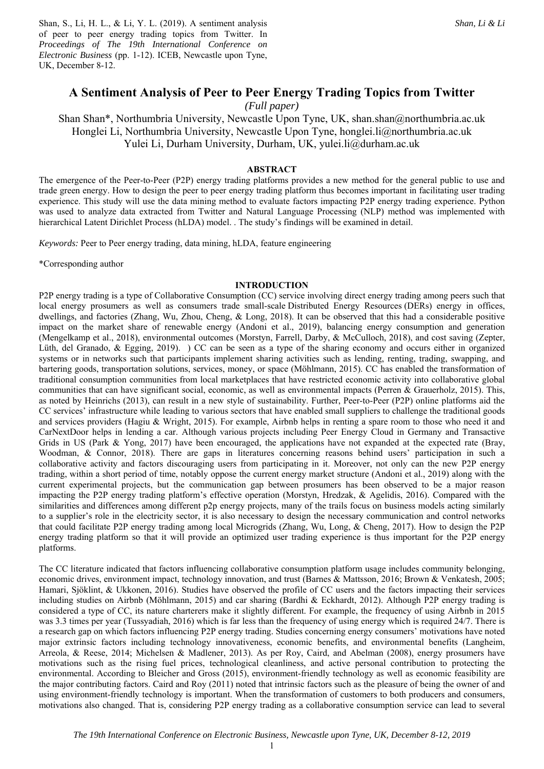Shan, S., Li, H. L., & Li, Y. L. (2019). A sentiment analysis of peer to peer energy trading topics from Twitter. In *Proceedings of The 19th International Conference on Electronic Business* (pp. 1-12). ICEB, Newcastle upon Tyne, UK, December 8-12.

# **A Sentiment Analysis of Peer to Peer Energy Trading Topics from Twitter**

*(Full paper)* 

Shan Shan\*, Northumbria University, Newcastle Upon Tyne, UK, shan.shan@northumbria.ac.uk Honglei Li, Northumbria University, Newcastle Upon Tyne, honglei.li@northumbria.ac.uk Yulei Li, Durham University, Durham, UK, yulei.li@durham.ac.uk

#### **ABSTRACT**

The emergence of the Peer-to-Peer (P2P) energy trading platforms provides a new method for the general public to use and trade green energy. How to design the peer to peer energy trading platform thus becomes important in facilitating user trading experience. This study will use the data mining method to evaluate factors impacting P2P energy trading experience. Python was used to analyze data extracted from Twitter and Natural Language Processing (NLP) method was implemented with hierarchical Latent Dirichlet Process (hLDA) model. . The study's findings will be examined in detail.

*Keywords:* Peer to Peer energy trading, data mining, hLDA, feature engineering

\*Corresponding author

#### **INTRODUCTION**

P2P energy trading is a type of Collaborative Consumption (CC) service involving direct energy trading among peers such that local energy prosumers as well as consumers trade small-scale Distributed Energy Resources (DERs) energy in offices, dwellings, and factories (Zhang, Wu, Zhou, Cheng, & Long, 2018). It can be observed that this had a considerable positive impact on the market share of renewable energy (Andoni et al., 2019), balancing energy consumption and generation (Mengelkamp et al., 2018), environmental outcomes (Morstyn, Farrell, Darby, & McCulloch, 2018), and cost saving (Zepter, Lüth, del Granado, & Egging, 2019). ) CC can be seen as a type of the sharing economy and occurs either in organized systems or in networks such that participants implement sharing activities such as lending, renting, trading, swapping, and bartering goods, transportation solutions, services, money, or space (Möhlmann, 2015). CC has enabled the transformation of traditional consumption communities from local marketplaces that have restricted economic activity into collaborative global communities that can have significant social, economic, as well as environmental impacts (Perren & Grauerholz, 2015). This, as noted by Heinrichs (2013), can result in a new style of sustainability. Further, Peer-to-Peer (P2P) online platforms aid the CC services' infrastructure while leading to various sectors that have enabled small suppliers to challenge the traditional goods and services providers (Hagiu & Wright, 2015). For example, Airbnb helps in renting a spare room to those who need it and CarNextDoor helps in lending a car. Although various projects including Peer Energy Cloud in Germany and Transactive Grids in US (Park & Yong, 2017) have been encouraged, the applications have not expanded at the expected rate (Bray, Woodman, & Connor, 2018). There are gaps in literatures concerning reasons behind users' participation in such a collaborative activity and factors discouraging users from participating in it. Moreover, not only can the new P2P energy trading, within a short period of time, notably oppose the current energy market structure (Andoni et al., 2019) along with the current experimental projects, but the communication gap between prosumers has been observed to be a major reason impacting the P2P energy trading platform's effective operation (Morstyn, Hredzak, & Agelidis, 2016). Compared with the similarities and differences among different p2p energy projects, many of the trails focus on business models acting similarly to a supplier's role in the electricity sector, it is also necessary to design the necessary communication and control networks that could facilitate P2P energy trading among local Microgrids (Zhang, Wu, Long, & Cheng, 2017). How to design the P2P energy trading platform so that it will provide an optimized user trading experience is thus important for the P2P energy platforms.

The CC literature indicated that factors influencing collaborative consumption platform usage includes community belonging, economic drives, environment impact, technology innovation, and trust (Barnes & Mattsson, 2016; Brown & Venkatesh, 2005; Hamari, Sjöklint, & Ukkonen, 2016). Studies have observed the profile of CC users and the factors impacting their services including studies on Airbnb (Möhlmann, 2015) and car sharing (Bardhi & Eckhardt, 2012). Although P2P energy trading is considered a type of CC, its nature charterers make it slightly different. For example, the frequency of using Airbnb in 2015 was 3.3 times per year (Tussyadiah, 2016) which is far less than the frequency of using energy which is required 24/7. There is a research gap on which factors influencing P2P energy trading. Studies concerning energy consumers' motivations have noted major extrinsic factors including technology innovativeness, economic benefits, and environmental benefits (Langheim, Arreola, & Reese, 2014; Michelsen & Madlener, 2013). As per Roy, Caird, and Abelman (2008), energy prosumers have motivations such as the rising fuel prices, technological cleanliness, and active personal contribution to protecting the environmental. According to Bleicher and Gross (2015), environment-friendly technology as well as economic feasibility are the major contributing factors. Caird and Roy (2011) noted that intrinsic factors such as the pleasure of being the owner of and using environment-friendly technology is important. When the transformation of customers to both producers and consumers, motivations also changed. That is, considering P2P energy trading as a collaborative consumption service can lead to several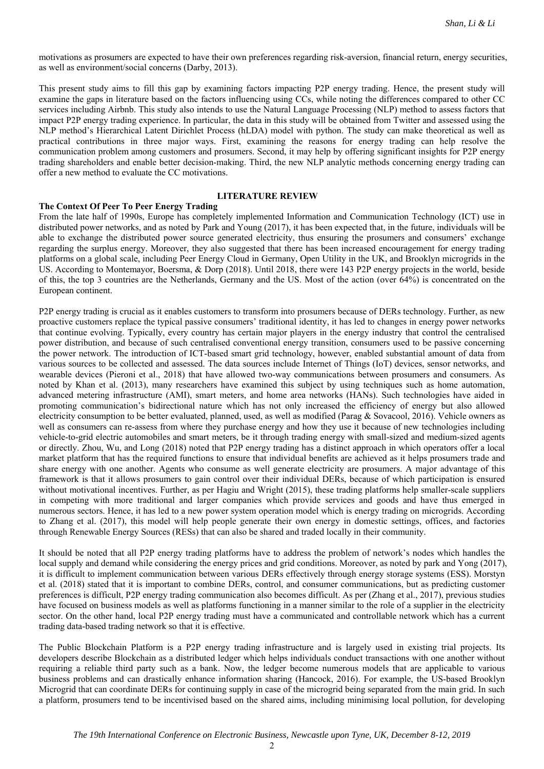motivations as prosumers are expected to have their own preferences regarding risk-aversion, financial return, energy securities, as well as environment/social concerns (Darby, 2013).

This present study aims to fill this gap by examining factors impacting P2P energy trading. Hence, the present study will examine the gaps in literature based on the factors influencing using CCs, while noting the differences compared to other CC services including Airbnb. This study also intends to use the Natural Language Processing (NLP) method to assess factors that impact P2P energy trading experience. In particular, the data in this study will be obtained from Twitter and assessed using the NLP method's Hierarchical Latent Dirichlet Process (hLDA) model with python. The study can make theoretical as well as practical contributions in three major ways. First, examining the reasons for energy trading can help resolve the communication problem among customers and prosumers. Second, it may help by offering significant insights for P2P energy trading shareholders and enable better decision-making. Third, the new NLP analytic methods concerning energy trading can offer a new method to evaluate the CC motivations.

# **LITERATURE REVIEW**

#### **The Context Of Peer To Peer Energy Trading**

From the late half of 1990s, Europe has completely implemented Information and Communication Technology (ICT) use in distributed power networks, and as noted by Park and Young (2017), it has been expected that, in the future, individuals will be able to exchange the distributed power source generated electricity, thus ensuring the prosumers and consumers' exchange regarding the surplus energy. Moreover, they also suggested that there has been increased encouragement for energy trading platforms on a global scale, including Peer Energy Cloud in Germany, Open Utility in the UK, and Brooklyn microgrids in the US. According to Montemayor, Boersma, & Dorp (2018). Until 2018, there were 143 P2P energy projects in the world, beside of this, the top 3 countries are the Netherlands, Germany and the US. Most of the action (over 64%) is concentrated on the European continent.

P2P energy trading is crucial as it enables customers to transform into prosumers because of DERs technology. Further, as new proactive customers replace the typical passive consumers' traditional identity, it has led to changes in energy power networks that continue evolving. Typically, every country has certain major players in the energy industry that control the centralised power distribution, and because of such centralised conventional energy transition, consumers used to be passive concerning the power network. The introduction of ICT-based smart grid technology, however, enabled substantial amount of data from various sources to be collected and assessed. The data sources include Internet of Things (IoT) devices, sensor networks, and wearable devices (Pieroni et al., 2018) that have allowed two-way communications between prosumers and consumers. As noted by Khan et al. (2013), many researchers have examined this subject by using techniques such as home automation, advanced metering infrastructure (AMI), smart meters, and home area networks (HANs). Such technologies have aided in promoting communication's bidirectional nature which has not only increased the efficiency of energy but also allowed electricity consumption to be better evaluated, planned, used, as well as modified (Parag & Sovacool, 2016). Vehicle owners as well as consumers can re-assess from where they purchase energy and how they use it because of new technologies including vehicle-to-grid electric automobiles and smart meters, be it through trading energy with small-sized and medium-sized agents or directly. Zhou, Wu, and Long (2018) noted that P2P energy trading has a distinct approach in which operators offer a local market platform that has the required functions to ensure that individual benefits are achieved as it helps prosumers trade and share energy with one another. Agents who consume as well generate electricity are prosumers. A major advantage of this framework is that it allows prosumers to gain control over their individual DERs, because of which participation is ensured without motivational incentives. Further, as per Hagiu and Wright (2015), these trading platforms help smaller-scale suppliers in competing with more traditional and larger companies which provide services and goods and have thus emerged in numerous sectors. Hence, it has led to a new power system operation model which is energy trading on microgrids. According to Zhang et al. (2017), this model will help people generate their own energy in domestic settings, offices, and factories through Renewable Energy Sources (RESs) that can also be shared and traded locally in their community.

It should be noted that all P2P energy trading platforms have to address the problem of network's nodes which handles the local supply and demand while considering the energy prices and grid conditions. Moreover, as noted by park and Yong (2017), it is difficult to implement communication between various DERs effectively through energy storage systems (ESS). Morstyn et al. (2018) stated that it is important to combine DERs, control, and consumer communications, but as predicting customer preferences is difficult, P2P energy trading communication also becomes difficult. As per (Zhang et al., 2017), previous studies have focused on business models as well as platforms functioning in a manner similar to the role of a supplier in the electricity sector. On the other hand, local P2P energy trading must have a communicated and controllable network which has a current trading data-based trading network so that it is effective.

The Public Blockchain Platform is a P2P energy trading infrastructure and is largely used in existing trial projects. Its developers describe Blockchain as a distributed ledger which helps individuals conduct transactions with one another without requiring a reliable third party such as a bank. Now, the ledger become numerous models that are applicable to various business problems and can drastically enhance information sharing (Hancock, 2016). For example, the US-based Brooklyn Microgrid that can coordinate DERs for continuing supply in case of the microgrid being separated from the main grid. In such a platform, prosumers tend to be incentivised based on the shared aims, including minimising local pollution, for developing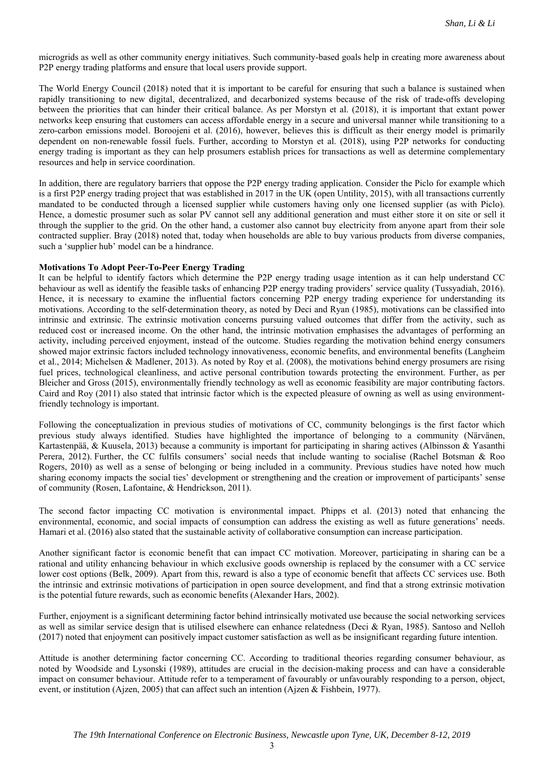microgrids as well as other community energy initiatives. Such community-based goals help in creating more awareness about P2P energy trading platforms and ensure that local users provide support.

The World Energy Council (2018) noted that it is important to be careful for ensuring that such a balance is sustained when rapidly transitioning to new digital, decentralized, and decarbonized systems because of the risk of trade-offs developing between the priorities that can hinder their critical balance. As per Morstyn et al. (2018), it is important that extant power networks keep ensuring that customers can access affordable energy in a secure and universal manner while transitioning to a zero-carbon emissions model. Boroojeni et al. (2016), however, believes this is difficult as their energy model is primarily dependent on non-renewable fossil fuels. Further, according to Morstyn et al. (2018), using P2P networks for conducting energy trading is important as they can help prosumers establish prices for transactions as well as determine complementary resources and help in service coordination.

In addition, there are regulatory barriers that oppose the P2P energy trading application. Consider the Piclo for example which is a first P2P energy trading project that was established in 2017 in the UK (open Untility, 2015), with all transactions currently mandated to be conducted through a licensed supplier while customers having only one licensed supplier (as with Piclo). Hence, a domestic prosumer such as solar PV cannot sell any additional generation and must either store it on site or sell it through the supplier to the grid. On the other hand, a customer also cannot buy electricity from anyone apart from their sole contracted supplier. Bray (2018) noted that, today when households are able to buy various products from diverse companies, such a 'supplier hub' model can be a hindrance.

### **Motivations To Adopt Peer-To-Peer Energy Trading**

It can be helpful to identify factors which determine the P2P energy trading usage intention as it can help understand CC behaviour as well as identify the feasible tasks of enhancing P2P energy trading providers' service quality (Tussyadiah, 2016). Hence, it is necessary to examine the influential factors concerning P2P energy trading experience for understanding its motivations. According to the self-determination theory, as noted by Deci and Ryan (1985), motivations can be classified into intrinsic and extrinsic. The extrinsic motivation concerns pursuing valued outcomes that differ from the activity, such as reduced cost or increased income. On the other hand, the intrinsic motivation emphasises the advantages of performing an activity, including perceived enjoyment, instead of the outcome. Studies regarding the motivation behind energy consumers showed major extrinsic factors included technology innovativeness, economic benefits, and environmental benefits (Langheim et al., 2014; Michelsen & Madlener, 2013). As noted by Roy et al. (2008), the motivations behind energy prosumers are rising fuel prices, technological cleanliness, and active personal contribution towards protecting the environment. Further, as per Bleicher and Gross (2015), environmentally friendly technology as well as economic feasibility are major contributing factors. Caird and Roy (2011) also stated that intrinsic factor which is the expected pleasure of owning as well as using environmentfriendly technology is important.

Following the conceptualization in previous studies of motivations of CC, community belongings is the first factor which previous study always identified. Studies have highlighted the importance of belonging to a community (Närvänen, Kartastenpää, & Kuusela, 2013) because a community is important for participating in sharing actives (Albinsson & Yasanthi Perera, 2012). Further, the CC fulfils consumers' social needs that include wanting to socialise (Rachel Botsman & Roo Rogers, 2010) as well as a sense of belonging or being included in a community. Previous studies have noted how much sharing economy impacts the social ties' development or strengthening and the creation or improvement of participants' sense of community (Rosen, Lafontaine, & Hendrickson, 2011).

The second factor impacting CC motivation is environmental impact. Phipps et al. (2013) noted that enhancing the environmental, economic, and social impacts of consumption can address the existing as well as future generations' needs. Hamari et al. (2016) also stated that the sustainable activity of collaborative consumption can increase participation.

Another significant factor is economic benefit that can impact CC motivation. Moreover, participating in sharing can be a rational and utility enhancing behaviour in which exclusive goods ownership is replaced by the consumer with a CC service lower cost options (Belk, 2009). Apart from this, reward is also a type of economic benefit that affects CC services use. Both the intrinsic and extrinsic motivations of participation in open source development, and find that a strong extrinsic motivation is the potential future rewards, such as economic benefits (Alexander Hars, 2002).

Further, enjoyment is a significant determining factor behind intrinsically motivated use because the social networking services as well as similar service design that is utilised elsewhere can enhance relatedness (Deci & Ryan, 1985). Santoso and Nelloh (2017) noted that enjoyment can positively impact customer satisfaction as well as be insignificant regarding future intention.

Attitude is another determining factor concerning CC. According to traditional theories regarding consumer behaviour, as noted by Woodside and Lysonski (1989), attitudes are crucial in the decision-making process and can have a considerable impact on consumer behaviour. Attitude refer to a temperament of favourably or unfavourably responding to a person, object, event, or institution (Ajzen, 2005) that can affect such an intention (Ajzen & Fishbein, 1977).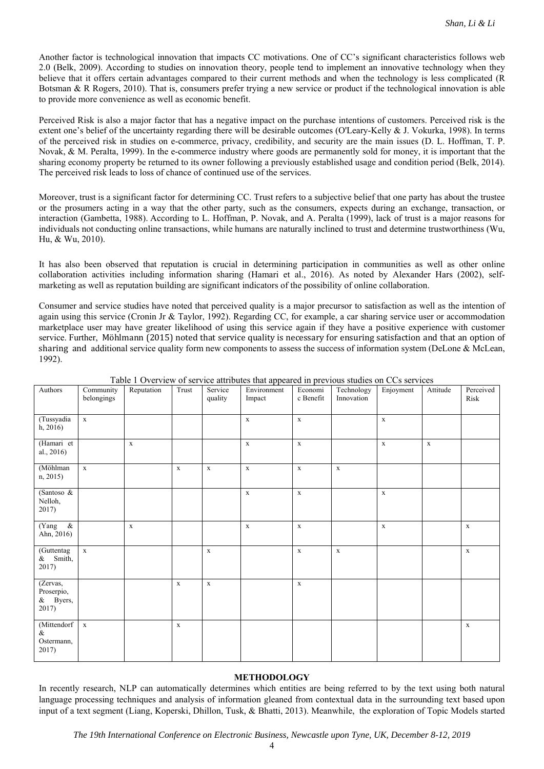Another factor is technological innovation that impacts CC motivations. One of CC's significant characteristics follows web 2.0 (Belk, 2009). According to studies on innovation theory, people tend to implement an innovative technology when they believe that it offers certain advantages compared to their current methods and when the technology is less complicated (R Botsman & R Rogers, 2010). That is, consumers prefer trying a new service or product if the technological innovation is able to provide more convenience as well as economic benefit.

Perceived Risk is also a major factor that has a negative impact on the purchase intentions of customers. Perceived risk is the extent one's belief of the uncertainty regarding there will be desirable outcomes (O'Leary‐Kelly & J. Vokurka, 1998). In terms of the perceived risk in studies on e-commerce, privacy, credibility, and security are the main issues (D. L. Hoffman, T. P. Novak, & M. Peralta, 1999). In the e-commerce industry where goods are permanently sold for money, it is important that the sharing economy property be returned to its owner following a previously established usage and condition period (Belk, 2014). The perceived risk leads to loss of chance of continued use of the services.

Moreover, trust is a significant factor for determining CC. Trust refers to a subjective belief that one party has about the trustee or the prosumers acting in a way that the other party, such as the consumers, expects during an exchange, transaction, or interaction (Gambetta, 1988). According to L. Hoffman, P. Novak, and A. Peralta (1999), lack of trust is a major reasons for individuals not conducting online transactions, while humans are naturally inclined to trust and determine trustworthiness (Wu, Hu, & Wu, 2010).

It has also been observed that reputation is crucial in determining participation in communities as well as other online collaboration activities including information sharing (Hamari et al., 2016). As noted by Alexander Hars (2002), selfmarketing as well as reputation building are significant indicators of the possibility of online collaboration.

Consumer and service studies have noted that perceived quality is a major precursor to satisfaction as well as the intention of again using this service (Cronin Jr & Taylor, 1992). Regarding CC, for example, a car sharing service user or accommodation marketplace user may have greater likelihood of using this service again if they have a positive experience with customer service. Further, Möhlmann (2015) noted that service quality is necessary for ensuring satisfaction and that an option of sharing and additional service quality form new components to assess the success of information system (DeLone & McLean, 1992).

| Authors                                     | Community<br>belongings | Reputation  | Trust       | Service<br>quality | Environment<br>Impact | Economi<br>c Benefit | Technology<br>Innovation | Enjoyment   | Attitude    | Perceived<br>Risk |
|---------------------------------------------|-------------------------|-------------|-------------|--------------------|-----------------------|----------------------|--------------------------|-------------|-------------|-------------------|
| (Tussyadia<br>h, 2016                       | $\mathbf x$             |             |             |                    | $\mathbf X$           | $\mathbf X$          |                          | $\mathbf X$ |             |                   |
| (Hamari et<br>al., 2016)                    |                         | $\mathbf X$ |             |                    | $\mathbf X$           | $\mathbf X$          |                          | $\mathbf X$ | $\mathbf X$ |                   |
| (Möhlman<br>n, 2015)                        | $\mathbf x$             |             | $\mathbf X$ | $\mathbf X$        | $\mathbf X$           | $\mathbf X$          | $\mathbf X$              |             |             |                   |
| (Santoso $\&$<br>Nelloh,<br>2017)           |                         |             |             |                    | $\mathbf X$           | $\mathbf X$          |                          | $\mathbf X$ |             |                   |
| $\&$<br>(Yang<br>Ahn, 2016)                 |                         | $\mathbf x$ |             |                    | $\mathbf X$           | $\mathbf X$          |                          | $\mathbf X$ |             | $\mathbf X$       |
| (Guttentag<br>& Smith,<br>2017)             | $\mathbf X$             |             |             | $\mathbf x$        |                       | $\mathbf X$          | $\mathbf x$              |             |             | $\mathbf X$       |
| (Zervas,<br>Proserpio,<br>& Byers,<br>2017) |                         |             | $\mathbf X$ | $\mathbf X$        |                       | $\mathbf X$          |                          |             |             |                   |
| (Mittendorf<br>$\&$<br>Ostermann,<br>2017)  | $\mathbf x$             |             | $\mathbf X$ |                    |                       |                      |                          |             |             | $\mathbf X$       |

Table 1 Overview of service attributes that appeared in previous studies on CCs services

# **METHODOLOGY**

In recently research, NLP can automatically determines which entities are being referred to by the text using both natural language processing techniques and analysis of information gleaned from contextual data in the surrounding text based upon input of a text segment (Liang, Koperski, Dhillon, Tusk, & Bhatti, 2013). Meanwhile, the exploration of Topic Models started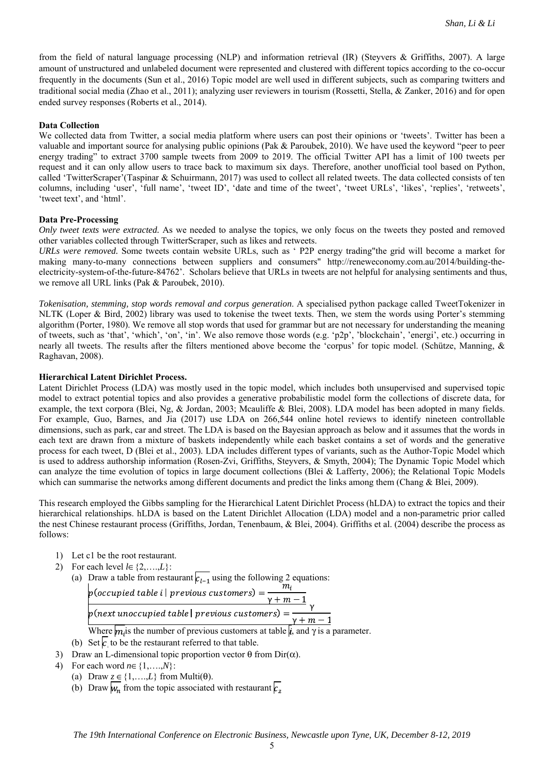from the field of natural language processing (NLP) and information retrieval (IR) (Steyvers & Griffiths, 2007). A large amount of unstructured and unlabeled document were represented and clustered with different topics according to the co-occur frequently in the documents (Sun et al., 2016) Topic model are well used in different subjects, such as comparing twitters and traditional social media (Zhao et al., 2011); analyzing user reviewers in tourism (Rossetti, Stella, & Zanker, 2016) and for open ended survey responses (Roberts et al., 2014).

#### **Data Collection**

We collected data from Twitter, a social media platform where users can post their opinions or 'tweets'. Twitter has been a valuable and important source for analysing public opinions (Pak & Paroubek, 2010). We have used the keyword "peer to peer energy trading" to extract 3700 sample tweets from 2009 to 2019. The official Twitter API has a limit of 100 tweets per request and it can only allow users to trace back to maximum six days. Therefore, another unofficial tool based on Python, called 'TwitterScraper'(Taspinar & Schuirmann, 2017) was used to collect all related tweets. The data collected consists of ten columns, including 'user', 'full name', 'tweet ID', 'date and time of the tweet', 'tweet URLs', 'likes', 'replies', 'retweets', 'tweet text', and 'html'.

#### **Data Pre-Processing**

*Only tweet texts were extracted.* As we needed to analyse the topics, we only focus on the tweets they posted and removed other variables collected through TwitterScraper, such as likes and retweets.

*URLs were removed.* Some tweets contain website URLs, such as ' P2P energy trading"the grid will become a market for making many-to-many connections between suppliers and consumers" http://reneweconomy.com.au/2014/building-theelectricity-system-of-the-future-84762'. Scholars believe that URLs in tweets are not helpful for analysing sentiments and thus, we remove all URL links (Pak & Paroubek, 2010).

*Tokenisation, stemming, stop words removal and corpus generation*. A specialised python package called TweetTokenizer in NLTK (Loper & Bird, 2002) library was used to tokenise the tweet texts. Then, we stem the words using Porter's stemming algorithm (Porter, 1980). We remove all stop words that used for grammar but are not necessary for understanding the meaning of tweets, such as 'that', 'which', 'on', 'in'. We also remove those words (e.g. 'p2p', 'blockchain', 'energi', etc.) occurring in nearly all tweets. The results after the filters mentioned above become the 'corpus' for topic model. (Schütze, Manning, & Raghavan, 2008).

# **Hierarchical Latent Dirichlet Process.**

Latent Dirichlet Process (LDA) was mostly used in the topic model, which includes both unsupervised and supervised topic model to extract potential topics and also provides a generative probabilistic model form the collections of discrete data, for example, the text corpora (Blei, Ng, & Jordan, 2003; Mcauliffe & Blei, 2008). LDA model has been adopted in many fields. For example, Guo, Barnes, and Jia (2017) use LDA on 266,544 online hotel reviews to identify nineteen controllable dimensions, such as park, car and street. The LDA is based on the Bayesian approach as below and it assumes that the words in each text are drawn from a mixture of baskets independently while each basket contains a set of words and the generative process for each tweet, D (Blei et al., 2003). LDA includes different types of variants, such as the Author-Topic Model which is used to address authorship information (Rosen-Zvi, Griffiths, Steyvers, & Smyth, 2004); The Dynamic Topic Model which can analyze the time evolution of topics in large document collections (Blei & Lafferty, 2006); the Relational Topic Models which can summarise the networks among different documents and predict the links among them (Chang & Blei, 2009).

This research employed the Gibbs sampling for the Hierarchical Latent Dirichlet Process (hLDA) to extract the topics and their hierarchical relationships. hLDA is based on the Latent Dirichlet Allocation (LDA) model and a non-parametric prior called the nest Chinese restaurant process (Griffiths, Jordan, Tenenbaum, & Blei, 2004). Griffiths et al. (2004) describe the process as follows:

- 1) Let c1 be the root restaurant.
- 2) For each level  $l \in \{2, \ldots, L\}$ :
	- (a) Draw a table from restaurant  $c_{1-1}$  using the following 2 equations:

Where  $m_i$  is the number of previous customers at table  $\mu$ , and  $\gamma$  is a parameter.

- (b) Set  $c_i$  to be the restaurant referred to that table.
- 3) Draw an L-dimensional topic proportion vector  $\theta$  from Dir( $\alpha$ ).
- 4) For each word  $n \in \{1, \ldots, N\}$ :
	- (a) Draw  $\underline{z} \in \{1, \ldots, L\}$  from Multi( $\theta$ ).
	- (b) Draw  $w_n$  from the topic associated with restaurant  $\sqrt{c_2}$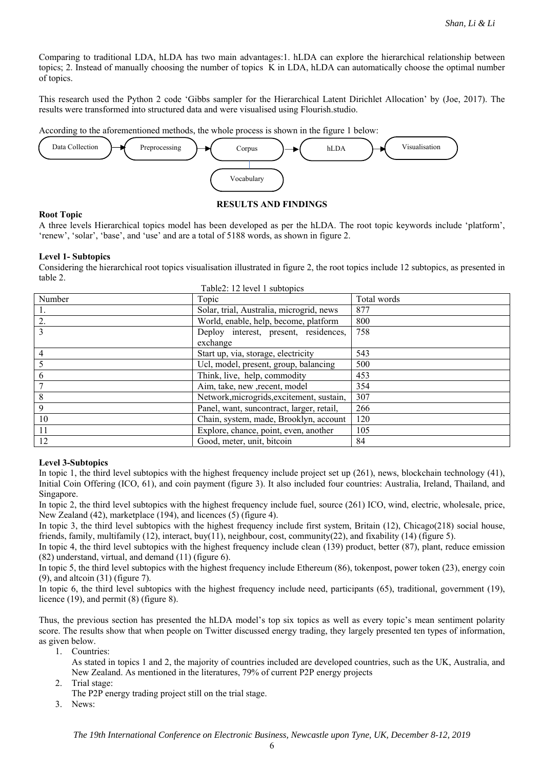Comparing to traditional LDA, hLDA has two main advantages:1. hLDA can explore the hierarchical relationship between topics; 2. Instead of manually choosing the number of topics K in LDA, hLDA can automatically choose the optimal number of topics.

This research used the Python 2 code 'Gibbs sampler for the Hierarchical Latent Dirichlet Allocation' by (Joe, 2017). The results were transformed into structured data and were visualised using Flourish.studio.

According to the aforementioned methods, the whole process is shown in the figure 1 below:



# **RESULTS AND FINDINGS**

**Root Topic**  A three levels Hierarchical topics model has been developed as per the hLDA. The root topic keywords include 'platform', 'renew', 'solar', 'base', and 'use' and are a total of 5188 words, as shown in figure 2.

#### **Level 1- Subtopics**

Considering the hierarchical root topics visualisation illustrated in figure 2, the root topics include 12 subtopics, as presented in table 2.  $Table2: 12 level 1 subtonic$ 

| Number         | Topic                                     | Total words |
|----------------|-------------------------------------------|-------------|
|                | Solar, trial, Australia, microgrid, news  | 877         |
| 2.             | World, enable, help, become, platform     | 800         |
| $\overline{3}$ | Deploy interest, present, residences,     | 758         |
|                | exchange                                  |             |
| $\overline{4}$ | Start up, via, storage, electricity       | 543         |
|                | Ucl, model, present, group, balancing     | 500         |
| 6              | Think, live, help, commodity              | 453         |
|                | Aim, take, new , recent, model            | 354         |
| 8              | Network, microgrids, excitement, sustain, | 307         |
| 9              | Panel, want, suncontract, larger, retail, | 266         |
| 10             | Chain, system, made, Brooklyn, account    | 120         |
| 11             | Explore, chance, point, even, another     | 105         |
| 12             | Good, meter, unit, bitcoin                | 84          |

# **Level 3-Subtopics**

In topic 1, the third level subtopics with the highest frequency include project set up (261), news, blockchain technology (41), Initial Coin Offering (ICO, 61), and coin payment (figure 3). It also included four countries: Australia, Ireland, Thailand, and Singapore.

In topic 2, the third level subtopics with the highest frequency include fuel, source (261) ICO, wind, electric, wholesale, price, New Zealand (42), marketplace (194), and licences (5) (figure 4).

In topic 3, the third level subtopics with the highest frequency include first system, Britain (12), Chicago(218) social house, friends, family, multifamily (12), interact, buy(11), neighbour, cost, community(22), and fixability (14) (figure 5).

In topic 4, the third level subtopics with the highest frequency include clean (139) product, better (87), plant, reduce emission (82) understand, virtual, and demand (11) (figure 6).

In topic 5, the third level subtopics with the highest frequency include Ethereum (86), tokenpost, power token (23), energy coin (9), and altcoin (31) (figure 7).

In topic 6, the third level subtopics with the highest frequency include need, participants (65), traditional, government (19), licence (19), and permit (8) (figure 8).

Thus, the previous section has presented the hLDA model's top six topics as well as every topic's mean sentiment polarity score. The results show that when people on Twitter discussed energy trading, they largely presented ten types of information, as given below.

1. Countries:

- As stated in topics 1 and 2, the majority of countries included are developed countries, such as the UK, Australia, and New Zealand. As mentioned in the literatures, 79% of current P2P energy projects
- 2. Trial stage:

The P2P energy trading project still on the trial stage.

3. News: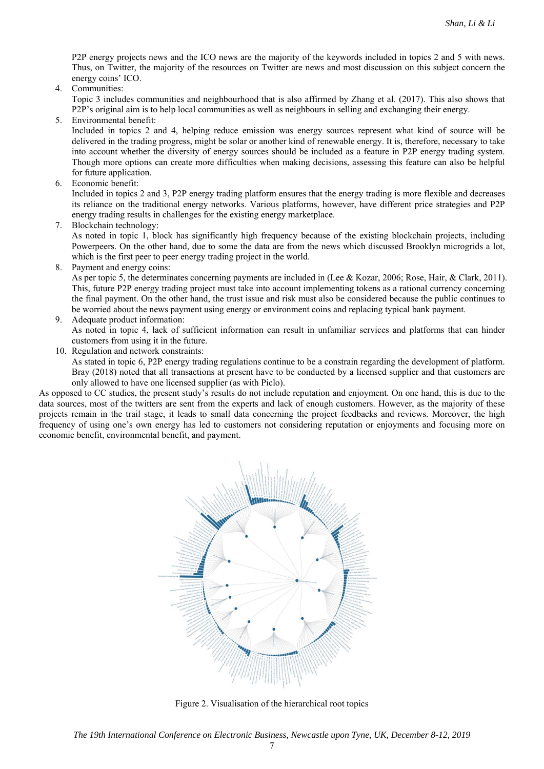P2P energy projects news and the ICO news are the majority of the keywords included in topics 2 and 5 with news. Thus, on Twitter, the majority of the resources on Twitter are news and most discussion on this subject concern the energy coins' ICO.

4. Communities:

Topic 3 includes communities and neighbourhood that is also affirmed by Zhang et al. (2017). This also shows that P2P's original aim is to help local communities as well as neighbours in selling and exchanging their energy.

5. Environmental benefit:

Included in topics 2 and 4, helping reduce emission was energy sources represent what kind of source will be delivered in the trading progress, might be solar or another kind of renewable energy. It is, therefore, necessary to take into account whether the diversity of energy sources should be included as a feature in P2P energy trading system. Though more options can create more difficulties when making decisions, assessing this feature can also be helpful for future application.

6. Economic benefit:

Included in topics 2 and 3, P2P energy trading platform ensures that the energy trading is more flexible and decreases its reliance on the traditional energy networks. Various platforms, however, have different price strategies and P2P energy trading results in challenges for the existing energy marketplace.

7. Blockchain technology:

As noted in topic 1, block has significantly high frequency because of the existing blockchain projects, including Powerpeers. On the other hand, due to some the data are from the news which discussed Brooklyn microgrids a lot, which is the first peer to peer energy trading project in the world.

8. Payment and energy coins:

As per topic 5, the determinates concerning payments are included in (Lee & Kozar, 2006; Rose, Hair, & Clark, 2011). This, future P2P energy trading project must take into account implementing tokens as a rational currency concerning the final payment. On the other hand, the trust issue and risk must also be considered because the public continues to be worried about the news payment using energy or environment coins and replacing typical bank payment.

- 9. Adequate product information:
	- As noted in topic 4, lack of sufficient information can result in unfamiliar services and platforms that can hinder customers from using it in the future.
- 10. Regulation and network constraints:

As stated in topic 6, P2P energy trading regulations continue to be a constrain regarding the development of platform. Bray (2018) noted that all transactions at present have to be conducted by a licensed supplier and that customers are only allowed to have one licensed supplier (as with Piclo).

As opposed to CC studies, the present study's results do not include reputation and enjoyment. On one hand, this is due to the data sources, most of the twitters are sent from the experts and lack of enough customers. However, as the majority of these projects remain in the trail stage, it leads to small data concerning the project feedbacks and reviews. Moreover, the high frequency of using one's own energy has led to customers not considering reputation or enjoyments and focusing more on economic benefit, environmental benefit, and payment.



Figure 2. Visualisation of the hierarchical root topics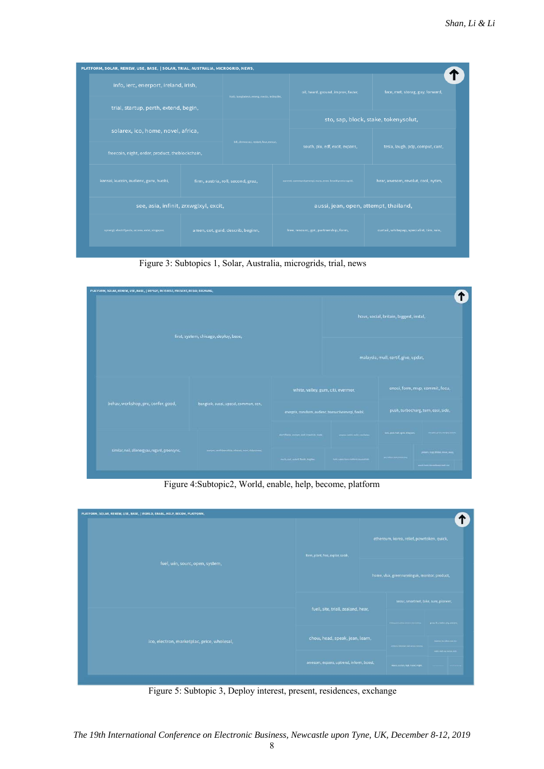| PLATFORM, SOLAR, RENEW, USE, BASE,   SOLAR, TRIAL, AUSTRALIA, MICROGRID, NEWS, |                                             |                                                          |                                       |                                          |                                      |  |  |  |
|--------------------------------------------------------------------------------|---------------------------------------------|----------------------------------------------------------|---------------------------------------|------------------------------------------|--------------------------------------|--|--|--|
| info, ierc, enerport, ireland, irish,                                          | hotb, bangladesh, emerg, media, ledinjdikt, | oil, heard, ground, improv, faster,                      |                                       | face, met, storag, guy, forward,         |                                      |  |  |  |
| trial, startup, perth, extend, begin,                                          |                                             |                                                          |                                       |                                          |                                      |  |  |  |
|                                                                                |                                             |                                                          |                                       |                                          | sto, sap, block, stake, tokenysolut, |  |  |  |
| solarex, ico, home, novel, africa,                                             | bill, democraci, restart, four, execut,     |                                                          |                                       |                                          |                                      |  |  |  |
| freecoin, night, order, product, theblockchain,                                |                                             |                                                          |                                       | south, plu, edf, excit, expans,          | tesla, laugh, pdp, comput, cant,     |  |  |  |
| kansai, kucoin, audienc, guru, huobi,                                          | firm, austria, roll, second, graz,          | current, communityenergi, mass, even, brooklynmicrogrid, |                                       | hear, awesom, revolut, cool, nytim,      |                                      |  |  |  |
|                                                                                | see, asia, infinit, zrxwglxyl, excit,       |                                                          | aussi, jean, open, attempt, thailand, |                                          |                                      |  |  |  |
| synergi, electrifyasia, access, exist, singapor,                               | amen, cot, guid, describ, beginn,           | free, resourc, got, partnership, form,                   |                                       | curtail, whitepap, specialist, tim, win, |                                      |  |  |  |

Figure 3: Subtopics 1, Solar, Australia, microgrids, trial, news

| hous, social, britain, biggest, instal,<br>first, system, chicago, deploy, base,<br>malaysia, mull, certif, give, updat,<br>enosi, form, mvp, commit, focu,<br>white, valley, gum, citi, evermor,<br>behav, workshop, pre, confer, good,<br>bangkok, aussi, upscal, commun, ccn,<br>push, turbocharg, turn, easi, side,<br>energzin, transform, audienc, transactiveenergi, fiexibl,<br><b>Net, pol, half, ign), triagues</b><br>NE SECURE APPLICATION<br>startifyinn, annium, port, conadiab, made<br>progress and the main could believe | PLATFORM, SOLAR, RENEW, USE, BASE,   DEPLOY, INTEREST, PRESENT, RESID, EXCHANG, |  |  |  |  |  |  |  |  |
|--------------------------------------------------------------------------------------------------------------------------------------------------------------------------------------------------------------------------------------------------------------------------------------------------------------------------------------------------------------------------------------------------------------------------------------------------------------------------------------------------------------------------------------------|---------------------------------------------------------------------------------|--|--|--|--|--|--|--|--|
|                                                                                                                                                                                                                                                                                                                                                                                                                                                                                                                                            |                                                                                 |  |  |  |  |  |  |  |  |
|                                                                                                                                                                                                                                                                                                                                                                                                                                                                                                                                            |                                                                                 |  |  |  |  |  |  |  |  |
|                                                                                                                                                                                                                                                                                                                                                                                                                                                                                                                                            |                                                                                 |  |  |  |  |  |  |  |  |
|                                                                                                                                                                                                                                                                                                                                                                                                                                                                                                                                            |                                                                                 |  |  |  |  |  |  |  |  |
|                                                                                                                                                                                                                                                                                                                                                                                                                                                                                                                                            |                                                                                 |  |  |  |  |  |  |  |  |
| similar, neil, allenergyau, regard, greensync,<br>inerpre, peak pleasably, otherwis, more, disputation.<br>green, hop, blake, most, year.<br><b>Anti-Miller (MA)</b> (Mariel Dai)<br>And significant military and an<br>mark.cod.underti.finiti, hopker.<br>work have recommend and me.                                                                                                                                                                                                                                                    |                                                                                 |  |  |  |  |  |  |  |  |

Figure 4:Subtopic2, World, enable, help, become, platform

| PLATFORM, SOLAR, RENEW, USE, BASE,   WORLD, ENABL, HELP, BECOM, PLATFORM, |                                         |                                            |                                               |                                   |
|---------------------------------------------------------------------------|-----------------------------------------|--------------------------------------------|-----------------------------------------------|-----------------------------------|
|                                                                           | form, plant, free, explor, sarah,       | ethereum, korea, relief, powrtoken, quick, |                                               |                                   |
| fuel, win, sourc, open, system,                                           |                                         |                                            | home, vlux, greenrunninguk, monitor, product, |                                   |
|                                                                           | fuell, site, triall, zealand, hear,     |                                            | secur, smartmet, take, sure, pioneer,         |                                   |
|                                                                           |                                         |                                            | (Follows port parties created throw extensi   | grow, fit, predict, sdg, percent, |
| ico, electron, marketplac, price, wholesal,                               | chow, head, speak, jean, learn,         |                                            | wrench blowed such arges because              | Aberluk bis saking bisi ada       |
|                                                                           |                                         |                                            |                                               | retit.mft.sy.tena.em              |
|                                                                           | awesom, expans, uptrend, inform, boost, |                                            | maco, outram, high, heart, might.             |                                   |
|                                                                           |                                         |                                            |                                               |                                   |

Figure 5: Subtopic 3, Deploy interest, present, residences, exchange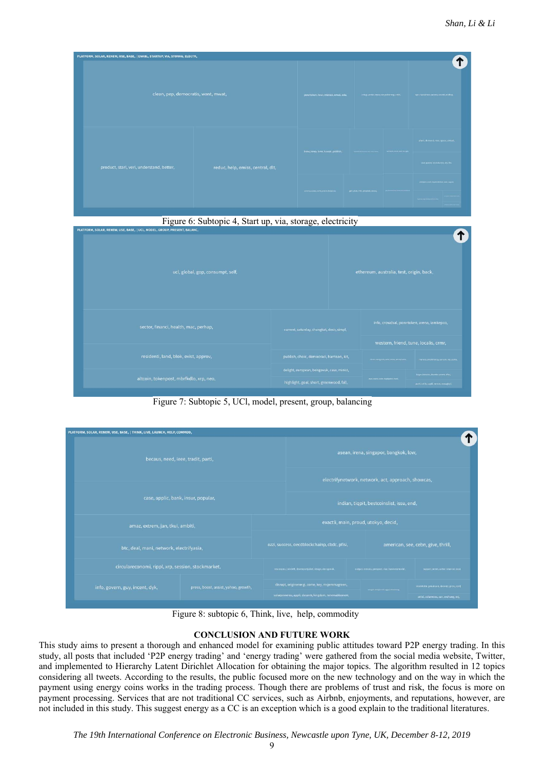| PLATFORM, SOLAR, RENEW, USE, BASE,   ENABL, STARTUP, VIA, STORAG, ELECTR, |                                     |                                    |                                                                                         |                                       |                                             |  |  |
|---------------------------------------------------------------------------|-------------------------------------|------------------------------------|-----------------------------------------------------------------------------------------|---------------------------------------|---------------------------------------------|--|--|
|                                                                           | clean, pep, democratis, want, mwat, |                                    | ponrtoken, hear, interest, email, edu,<br>innagi, ventur, tepco, conjudeemergi, articl. |                                       | spar, hackathon, success, countri, nighter, |  |  |
|                                                                           |                                     | brew, keep, beer, hawait, publish, |                                                                                         | merced, small, book rev. got.         | plant, demand, nice, space, virtual,        |  |  |
| product, starl, veri, understand, better,                                 | reduc, help, emiss, central, dlt,   |                                    |                                                                                         | davi, patent, techcitytew, teo, file, |                                             |  |  |
|                                                                           |                                     | arietca.com/corth.priem.telpone.   |                                                                                         | present vide versus sense and apply.  |                                             |  |  |
|                                                                           |                                     |                                    |                                                                                         | gen, plan, initi, proposit, sepul,    | <b>Normal of Separate Gallery</b>           |  |  |

Figure 6: Subtopic 4, Start up, via, storage, electricity

| PLATFORM, SOLAR, RENEW, USE, BASE,   UCL, MODEL, GROUP, PRESENT, BALANC, |                                             |  |                                                 |                                             |
|--------------------------------------------------------------------------|---------------------------------------------|--|-------------------------------------------------|---------------------------------------------|
| ucl, global, gop, consumpt, self,                                        |                                             |  |                                                 | ethereum, australia, test, origin, back,    |
| sector, financi, health, mac, perhap,                                    | current, saturday, changkat, desir, simpl,  |  | info, crowdsal, powrtoken, arena, iamkepco,     |                                             |
|                                                                          |                                             |  | western, friend, tune, localis, crmr,           |                                             |
| residenti, land, blok, exist, approv,                                    | publish, choic, democraci, harrison, kit,   |  | citizen; energycaln, erner; mews, pennsylvania. | manero, smartmoney, suncoin, srp, exska,    |
|                                                                          | delight, european, beisgovuk, case, minist, |  |                                                 | larger, introduc, therefor, extent, effici, |
| altcoin, tokenpost, mbrfkdlo, xrp, neo,                                  | highlight, goal, short, greenwood, fall,    |  | segon angéer siètes, hagotgallen, produ         | parti, utilis, appli, remov, zixogleyl,     |

Figure 7: Subtopic 5, UCl, model, present, group, balancing

| PLATFORM, SOLAR, RENEW, USE, BASE,   THINK, LIVE, LAUNCH, HELP, COMMOD, |                                      |                                                                                    |                                                                                                          |  |                                                                                              |                                             |  |  |  |
|-------------------------------------------------------------------------|--------------------------------------|------------------------------------------------------------------------------------|----------------------------------------------------------------------------------------------------------|--|----------------------------------------------------------------------------------------------|---------------------------------------------|--|--|--|
| becaus, need, ieee, tradit, parti,                                      |                                      | asean, irena, singapor, bangkok, low,                                              |                                                                                                          |  |                                                                                              |                                             |  |  |  |
|                                                                         |                                      | electrifynetwork, network, act, approach, showcas,                                 |                                                                                                          |  |                                                                                              |                                             |  |  |  |
|                                                                         |                                      |                                                                                    |                                                                                                          |  |                                                                                              |                                             |  |  |  |
| case, applic, bank, insur, popular,                                     |                                      |                                                                                    | indian, tiqpit, bestcoinslist, issu, end,                                                                |  |                                                                                              |                                             |  |  |  |
| amaz, extrem, jan, tkui, ambiti,                                        | exactli, main, proud, utokyo, decid, |                                                                                    |                                                                                                          |  |                                                                                              |                                             |  |  |  |
| btc, deal, mani, network, electrifyasia,                                |                                      | american, see, cebn, give, thrill,<br>ozzi, success, oecdblockchainp, cbdc, pfisi, |                                                                                                          |  |                                                                                              |                                             |  |  |  |
| circulareconomi, rippl, xrp, session, stockmarket,                      |                                      |                                                                                    | rescoopeu, joindrift, davenportjuliet, design, decegovak,                                                |  | autput, reevalu, prospect, rise, businessmodel,<br>support, permit, suthor, brianvad, local, |                                             |  |  |  |
| info, govern, guy, incent, dyk,                                         | press, boost, assist, yahoo, growth, |                                                                                    | disrupt, originenergi, come, key, msjemmagreen,<br>solarpowereu, appli, decentr, kingdom, renewablesnew, |  | megia: the problem application of                                                            | stackholm, plevinson, decentr, picio, conf, |  |  |  |
|                                                                         |                                      |                                                                                    |                                                                                                          |  |                                                                                              | articl, solarnovu, san, exchang, ex),       |  |  |  |

Figure 8: subtopic 6, Think, live, help, commodity

# **CONCLUSION AND FUTURE WORK**

This study aims to present a thorough and enhanced model for examining public attitudes toward P2P energy trading. In this study, all posts that included 'P2P energy trading' and 'energy trading' were gathered from the social media website, Twitter, and implemented to Hierarchy Latent Dirichlet Allocation for obtaining the major topics. The algorithm resulted in 12 topics considering all tweets. According to the results, the public focused more on the new technology and on the way in which the payment using energy coins works in the trading process. Though there are problems of trust and risk, the focus is more on payment processing. Services that are not traditional CC services, such as Airbnb, enjoyments, and reputations, however, are not included in this study. This suggest energy as a CC is an exception which is a good explain to the traditional literatures.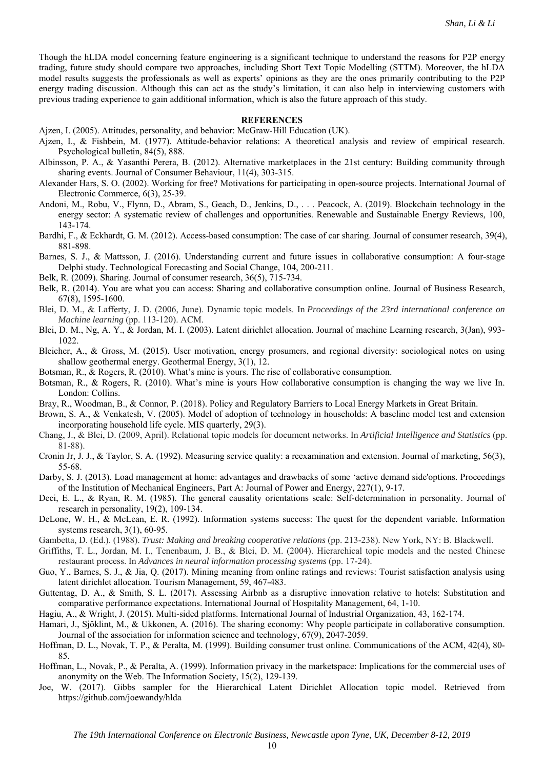Though the hLDA model concerning feature engineering is a significant technique to understand the reasons for P2P energy trading, future study should compare two approaches, including Short Text Topic Modelling (STTM). Moreover, the hLDA model results suggests the professionals as well as experts' opinions as they are the ones primarily contributing to the P2P energy trading discussion. Although this can act as the study's limitation, it can also help in interviewing customers with previous trading experience to gain additional information, which is also the future approach of this study.

#### **REFERENCES**

Ajzen, I. (2005). Attitudes, personality, and behavior: McGraw-Hill Education (UK).

- Ajzen, I., & Fishbein, M. (1977). Attitude-behavior relations: A theoretical analysis and review of empirical research. Psychological bulletin, 84(5), 888.
- Albinsson, P. A., & Yasanthi Perera, B. (2012). Alternative marketplaces in the 21st century: Building community through sharing events. Journal of Consumer Behaviour, 11(4), 303-315.
- Alexander Hars, S. O. (2002). Working for free? Motivations for participating in open-source projects. International Journal of Electronic Commerce, 6(3), 25-39.
- Andoni, M., Robu, V., Flynn, D., Abram, S., Geach, D., Jenkins, D., . . . Peacock, A. (2019). Blockchain technology in the energy sector: A systematic review of challenges and opportunities. Renewable and Sustainable Energy Reviews, 100, 143-174.
- Bardhi, F., & Eckhardt, G. M. (2012). Access-based consumption: The case of car sharing. Journal of consumer research, 39(4), 881-898.
- Barnes, S. J., & Mattsson, J. (2016). Understanding current and future issues in collaborative consumption: A four-stage Delphi study. Technological Forecasting and Social Change, 104, 200-211.
- Belk, R. (2009). Sharing. Journal of consumer research, 36(5), 715-734.
- Belk, R. (2014). You are what you can access: Sharing and collaborative consumption online. Journal of Business Research, 67(8), 1595-1600.
- Blei, D. M., & Lafferty, J. D. (2006, June). Dynamic topic models. In *Proceedings of the 23rd international conference on Machine learning* (pp. 113-120). ACM.
- Blei, D. M., Ng, A. Y., & Jordan, M. I. (2003). Latent dirichlet allocation. Journal of machine Learning research, 3(Jan), 993- 1022.
- Bleicher, A., & Gross, M. (2015). User motivation, energy prosumers, and regional diversity: sociological notes on using shallow geothermal energy. Geothermal Energy, 3(1), 12.
- Botsman, R., & Rogers, R. (2010). What's mine is yours. The rise of collaborative consumption.
- Botsman, R., & Rogers, R. (2010). What's mine is yours How collaborative consumption is changing the way we live In. London: Collins.
- Bray, R., Woodman, B., & Connor, P. (2018). Policy and Regulatory Barriers to Local Energy Markets in Great Britain.
- Brown, S. A., & Venkatesh, V. (2005). Model of adoption of technology in households: A baseline model test and extension incorporating household life cycle. MIS quarterly, 29(3).
- Chang, J., & Blei, D. (2009, April). Relational topic models for document networks. In *Artificial Intelligence and Statistics* (pp. 81-88).
- Cronin Jr, J. J., & Taylor, S. A. (1992). Measuring service quality: a reexamination and extension. Journal of marketing, 56(3), 55-68.
- Darby, S. J. (2013). Load management at home: advantages and drawbacks of some 'active demand side'options. Proceedings of the Institution of Mechanical Engineers, Part A: Journal of Power and Energy, 227(1), 9-17.
- Deci, E. L., & Ryan, R. M. (1985). The general causality orientations scale: Self-determination in personality. Journal of research in personality, 19(2), 109-134.
- DeLone, W. H., & McLean, E. R. (1992). Information systems success: The quest for the dependent variable. Information systems research, 3(1), 60-95.
- Gambetta, D. (Ed.). (1988). *Trust: Making and breaking cooperative relations* (pp. 213-238). New York, NY: B. Blackwell.
- Griffiths, T. L., Jordan, M. I., Tenenbaum, J. B., & Blei, D. M. (2004). Hierarchical topic models and the nested Chinese restaurant process. In *Advances in neural information processing systems* (pp. 17-24).
- Guo, Y., Barnes, S. J., & Jia, Q. (2017). Mining meaning from online ratings and reviews: Tourist satisfaction analysis using latent dirichlet allocation. Tourism Management, 59, 467-483.
- Guttentag, D. A., & Smith, S. L. (2017). Assessing Airbnb as a disruptive innovation relative to hotels: Substitution and comparative performance expectations. International Journal of Hospitality Management, 64, 1-10.
- Hagiu, A., & Wright, J. (2015). Multi-sided platforms. International Journal of Industrial Organization, 43, 162-174.
- Hamari, J., Sjöklint, M., & Ukkonen, A. (2016). The sharing economy: Why people participate in collaborative consumption. Journal of the association for information science and technology, 67(9), 2047-2059.
- Hoffman, D. L., Novak, T. P., & Peralta, M. (1999). Building consumer trust online. Communications of the ACM, 42(4), 80- 85.
- Hoffman, L., Novak, P., & Peralta, A. (1999). Information privacy in the marketspace: Implications for the commercial uses of anonymity on the Web. The Information Society, 15(2), 129-139.
- Joe, W. (2017). Gibbs sampler for the Hierarchical Latent Dirichlet Allocation topic model. Retrieved from https://github.com/joewandy/hlda

10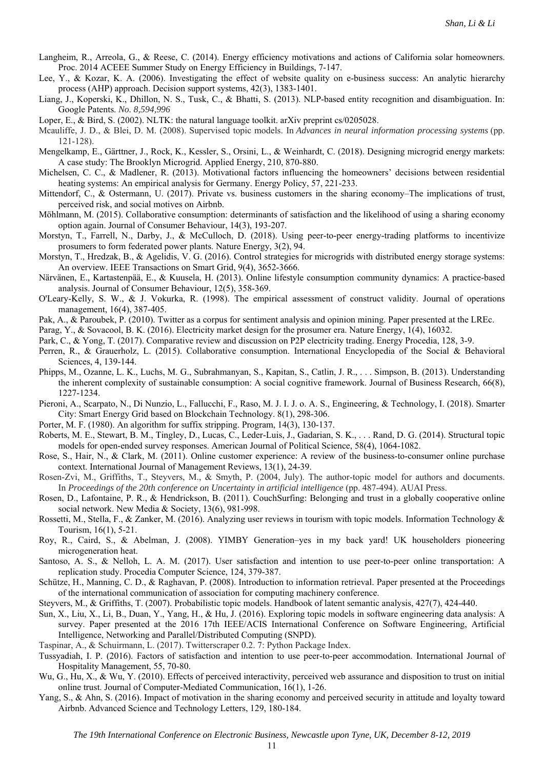- Langheim, R., Arreola, G., & Reese, C. (2014). Energy efficiency motivations and actions of California solar homeowners. Proc. 2014 ACEEE Summer Study on Energy Efficiency in Buildings, 7-147.
- Lee, Y., & Kozar, K. A. (2006). Investigating the effect of website quality on e-business success: An analytic hierarchy process (AHP) approach. Decision support systems, 42(3), 1383-1401.
- Liang, J., Koperski, K., Dhillon, N. S., Tusk, C., & Bhatti, S. (2013). NLP-based entity recognition and disambiguation. In: Google Patents. *No. 8,594,996*
- Loper, E., & Bird, S. (2002). NLTK: the natural language toolkit. arXiv preprint cs/0205028.
- Mcauliffe, J. D., & Blei, D. M. (2008). Supervised topic models. In *Advances in neural information processing systems* (pp. 121-128).
- Mengelkamp, E., Gärttner, J., Rock, K., Kessler, S., Orsini, L., & Weinhardt, C. (2018). Designing microgrid energy markets: A case study: The Brooklyn Microgrid. Applied Energy, 210, 870-880.
- Michelsen, C. C., & Madlener, R. (2013). Motivational factors influencing the homeowners' decisions between residential heating systems: An empirical analysis for Germany. Energy Policy, 57, 221-233.
- Mittendorf, C., & Ostermann, U. (2017). Private vs. business customers in the sharing economy–The implications of trust, perceived risk, and social motives on Airbnb.
- Möhlmann, M. (2015). Collaborative consumption: determinants of satisfaction and the likelihood of using a sharing economy option again. Journal of Consumer Behaviour, 14(3), 193-207.
- Morstyn, T., Farrell, N., Darby, J., & McCulloch, D. (2018). Using peer-to-peer energy-trading platforms to incentivize prosumers to form federated power plants. Nature Energy, 3(2), 94.
- Morstyn, T., Hredzak, B., & Agelidis, V. G. (2016). Control strategies for microgrids with distributed energy storage systems: An overview. IEEE Transactions on Smart Grid, 9(4), 3652-3666.
- Närvänen, E., Kartastenpää, E., & Kuusela, H. (2013). Online lifestyle consumption community dynamics: A practice‐based analysis. Journal of Consumer Behaviour, 12(5), 358-369.
- O'Leary‐Kelly, S. W., & J. Vokurka, R. (1998). The empirical assessment of construct validity. Journal of operations management, 16(4), 387-405.
- Pak, A., & Paroubek, P. (2010). Twitter as a corpus for sentiment analysis and opinion mining. Paper presented at the LREc.
- Parag, Y., & Sovacool, B. K. (2016). Electricity market design for the prosumer era. Nature Energy, 1(4), 16032.
- Park, C., & Yong, T. (2017). Comparative review and discussion on P2P electricity trading. Energy Procedia, 128, 3-9.
- Perren, R., & Grauerholz, L. (2015). Collaborative consumption. International Encyclopedia of the Social & Behavioral Sciences, 4, 139-144.
- Phipps, M., Ozanne, L. K., Luchs, M. G., Subrahmanyan, S., Kapitan, S., Catlin, J. R., . . . Simpson, B. (2013). Understanding the inherent complexity of sustainable consumption: A social cognitive framework. Journal of Business Research, 66(8), 1227-1234.
- Pieroni, A., Scarpato, N., Di Nunzio, L., Fallucchi, F., Raso, M. J. I. J. o. A. S., Engineering, & Technology, I. (2018). Smarter City: Smart Energy Grid based on Blockchain Technology. 8(1), 298-306.
- Porter, M. F. (1980). An algorithm for suffix stripping. Program, 14(3), 130-137.
- Roberts, M. E., Stewart, B. M., Tingley, D., Lucas, C., Leder‐Luis, J., Gadarian, S. K., . . . Rand, D. G. (2014). Structural topic models for open‐ended survey responses. American Journal of Political Science, 58(4), 1064-1082.
- Rose, S., Hair, N., & Clark, M. (2011). Online customer experience: A review of the business-to-consumer online purchase context. International Journal of Management Reviews, 13(1), 24-39.
- Rosen-Zvi, M., Griffiths, T., Steyvers, M., & Smyth, P. (2004, July). The author-topic model for authors and documents. In *Proceedings of the 20th conference on Uncertainty in artificial intelligence* (pp. 487-494). AUAI Press.
- Rosen, D., Lafontaine, P. R., & Hendrickson, B. (2011). CouchSurfing: Belonging and trust in a globally cooperative online social network. New Media & Society, 13(6), 981-998.
- Rossetti, M., Stella, F., & Zanker, M. (2016). Analyzing user reviews in tourism with topic models. Information Technology & Tourism, 16(1), 5-21.
- Roy, R., Caird, S., & Abelman, J. (2008). YIMBY Generation–yes in my back yard! UK householders pioneering microgeneration heat.
- Santoso, A. S., & Nelloh, L. A. M. (2017). User satisfaction and intention to use peer-to-peer online transportation: A replication study. Procedia Computer Science, 124, 379-387.
- Schütze, H., Manning, C. D., & Raghavan, P. (2008). Introduction to information retrieval. Paper presented at the Proceedings of the international communication of association for computing machinery conference.
- Steyvers, M., & Griffiths, T. (2007). Probabilistic topic models. Handbook of latent semantic analysis, 427(7), 424-440.
- Sun, X., Liu, X., Li, B., Duan, Y., Yang, H., & Hu, J. (2016). Exploring topic models in software engineering data analysis: A survey. Paper presented at the 2016 17th IEEE/ACIS International Conference on Software Engineering, Artificial Intelligence, Networking and Parallel/Distributed Computing (SNPD).
- Taspinar, A., & Schuirmann, L. (2017). Twitterscraper 0.2. 7: Python Package Index.
- Tussyadiah, I. P. (2016). Factors of satisfaction and intention to use peer-to-peer accommodation. International Journal of Hospitality Management, 55, 70-80.
- Wu, G., Hu, X., & Wu, Y. (2010). Effects of perceived interactivity, perceived web assurance and disposition to trust on initial online trust. Journal of Computer-Mediated Communication, 16(1), 1-26.
- Yang, S., & Ahn, S. (2016). Impact of motivation in the sharing economy and perceived security in attitude and loyalty toward Airbnb. Advanced Science and Technology Letters, 129, 180-184.

11